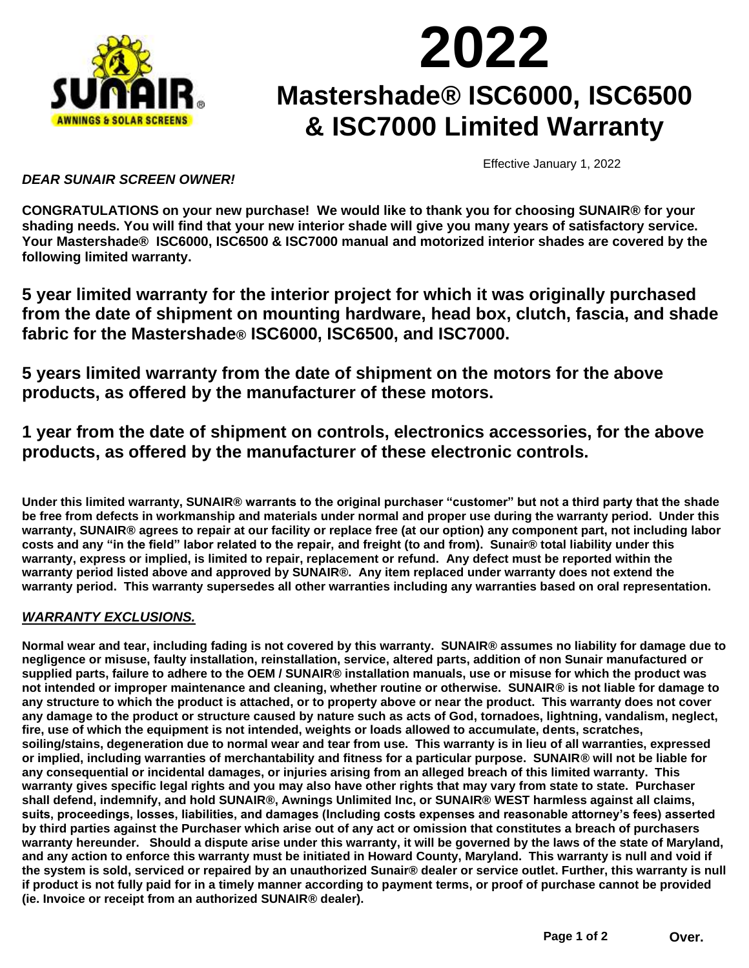

## **2022 Mastershade® ISC6000, ISC6500 & ISC7000 Limited Warranty**

Effective January 1, 2022

## *DEAR SUNAIR SCREEN OWNER!*

**CONGRATULATIONS on your new purchase! We would like to thank you for choosing SUNAIR® for your shading needs. You will find that your new interior shade will give you many years of satisfactory service. Your Mastershade® ISC6000, ISC6500 & ISC7000 manual and motorized interior shades are covered by the following limited warranty.**

**5 year limited warranty for the interior project for which it was originally purchased from the date of shipment on mounting hardware, head box, clutch, fascia, and shade fabric for the Mastershade® ISC6000, ISC6500, and ISC7000.**

**5 years limited warranty from the date of shipment on the motors for the above products, as offered by the manufacturer of these motors.**

**1 year from the date of shipment on controls, electronics accessories, for the above products, as offered by the manufacturer of these electronic controls.** 

**Under this limited warranty, SUNAIR® warrants to the original purchaser "customer" but not a third party that the shade be free from defects in workmanship and materials under normal and proper use during the warranty period. Under this warranty, SUNAIR® agrees to repair at our facility or replace free (at our option) any component part, not including labor costs and any "in the field" labor related to the repair, and freight (to and from). Sunair® total liability under this warranty, express or implied, is limited to repair, replacement or refund. Any defect must be reported within the warranty period listed above and approved by SUNAIR®. Any item replaced under warranty does not extend the warranty period. This warranty supersedes all other warranties including any warranties based on oral representation.**

## *WARRANTY EXCLUSIONS.*

**Normal wear and tear, including fading is not covered by this warranty. SUNAIR® assumes no liability for damage due to negligence or misuse, faulty installation, reinstallation, service, altered parts, addition of non Sunair manufactured or supplied parts, failure to adhere to the OEM / SUNAIR® installation manuals, use or misuse for which the product was not intended or improper maintenance and cleaning, whether routine or otherwise. SUNAIR® is not liable for damage to any structure to which the product is attached, or to property above or near the product. This warranty does not cover any damage to the product or structure caused by nature such as acts of God, tornadoes, lightning, vandalism, neglect, fire, use of which the equipment is not intended, weights or loads allowed to accumulate, dents, scratches, soiling/stains, degeneration due to normal wear and tear from use. This warranty is in lieu of all warranties, expressed or implied, including warranties of merchantability and fitness for a particular purpose. SUNAIR® will not be liable for any consequential or incidental damages, or injuries arising from an alleged breach of this limited warranty. This warranty gives specific legal rights and you may also have other rights that may vary from state to state. Purchaser shall defend, indemnify, and hold SUNAIR®, Awnings Unlimited Inc, or SUNAIR® WEST harmless against all claims, suits, proceedings, losses, liabilities, and damages (Including costs expenses and reasonable attorney's fees) asserted by third parties against the Purchaser which arise out of any act or omission that constitutes a breach of purchasers warranty hereunder. Should a dispute arise under this warranty, it will be governed by the laws of the state of Maryland, and any action to enforce this warranty must be initiated in Howard County, Maryland. This warranty is null and void if the system is sold, serviced or repaired by an unauthorized Sunair® dealer or service outlet. Further, this warranty is null if product is not fully paid for in a timely manner according to payment terms, or proof of purchase cannot be provided (ie. Invoice or receipt from an authorized SUNAIR® dealer).**